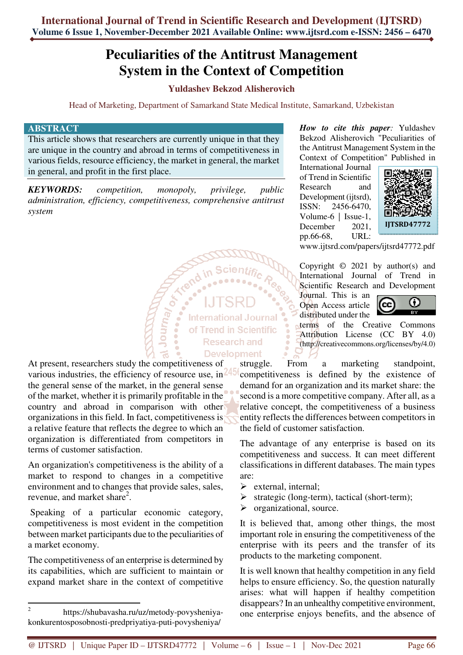# **Peculiarities of the Antitrust Management System in the Context of Competition**

## **Yuldashev Bekzod Alisherovich**

Head of Marketing, Department of Samarkand State Medical Institute, Samarkand, Uzbekistan

**International Journal** of Trend in Scientific Research and

#### **ABSTRACT**

This article shows that researchers are currently unique in that they are unique in the country and abroad in terms of competitiveness in various fields, resource efficiency, the market in general, the market in general, and profit in the first place.

*KEYWORDS: competition, monopoly, privilege, public administration, efficiency, competitiveness, comprehensive antitrust system* 

**Signal Contract** 

**Development** At present, researchers study the competitiveness of various industries, the efficiency of resource use, in 245 the general sense of the market, in the general sense of the market, whether it is primarily profitable in the country and abroad in comparison with other organizations in this field. In fact, competitiveness is a relative feature that reflects the degree to which an organization is differentiated from competitors in terms of customer satisfaction.

An organization's competitiveness is the ability of a market to respond to changes in a competitive environment and to changes that provide sales, sales, revenue, and market share<sup>2</sup>.

 Speaking of a particular economic category, competitiveness is most evident in the competition between market participants due to the peculiarities of a market economy.

The competitiveness of an enterprise is determined by its capabilities, which are sufficient to maintain or expand market share in the context of competitive

 $\overline{a}$ 

*How to cite this paper:* Yuldashev Bekzod Alisherovich "Peculiarities of the Antitrust Management System in the Context of Competition" Published in

International Journal of Trend in Scientific Research and Development (ijtsrd), ISSN: 2456-6470, Volume-6 | Issue-1, December 2021. pp.66-68, URL:



www.ijtsrd.com/papers/ijtsrd47772.pdf

Copyright  $\odot$  2021 by author(s) and International Journal of Trend in Scientific Research and Development

Journal. This is an Open Access article distributed under the



terms of the Creative Commons Attribution License (CC BY 4.0) (http://creativecommons.org/licenses/by/4.0)

struggle. From a marketing standpoint, competitiveness is defined by the existence of demand for an organization and its market share: the second is a more competitive company. After all, as a relative concept, the competitiveness of a business entity reflects the differences between competitors in the field of customer satisfaction.

The advantage of any enterprise is based on its competitiveness and success. It can meet different classifications in different databases. The main types are:

- $\triangleright$  external, internal;
- $\triangleright$  strategic (long-term), tactical (short-term);
- $\triangleright$  organizational, source.

It is believed that, among other things, the most important role in ensuring the competitiveness of the enterprise with its peers and the transfer of its products to the marketing component.

It is well known that healthy competition in any field helps to ensure efficiency. So, the question naturally arises: what will happen if healthy competition disappears? In an unhealthy competitive environment, one enterprise enjoys benefits, and the absence of

<sup>2</sup> https://shubavasha.ru/uz/metody-povysheniyakonkurentosposobnosti-predpriyatiya-puti-povysheniya/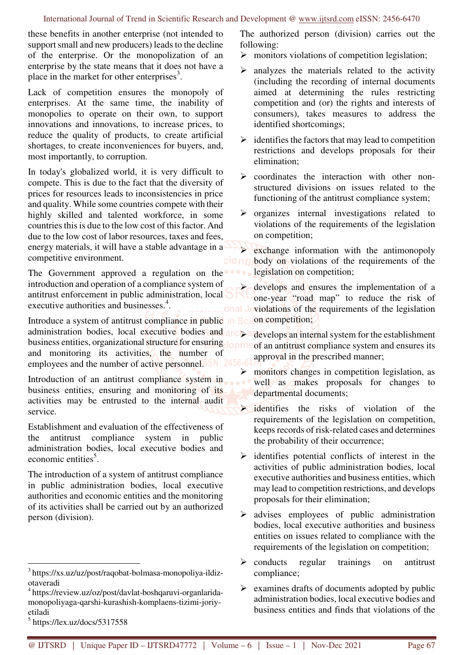these benefits in another enterprise (not intended to support small and new producers) leads to the decline of the enterprise. Or the monopolization of an enterprise by the state means that it does not have a place in the market for other enterprises $3$ .

Lack of competition ensures the monopoly of enterprises. At the same time, the inability of monopolies to operate on their own, to support innovations and innovations, to increase prices, to reduce the quality of products, to create artificial shortages, to create inconveniences for buyers, and, most importantly, to corruption.

In today's globalized world, it is very difficult to compete. This is due to the fact that the diversity of prices for resources leads to inconsistencies in price and quality. While some countries compete with their highly skilled and talented workforce, in some countries this is due to the low cost of this factor. And due to the low cost of labor resources, taxes and fees, energy materials, it will have a stable advantage in a competitive environment.

The Government approved a regulation on the introduction and operation of a compliance system of antitrust enforcement in public administration, local executive authorities and businesses.<sup>4</sup>.

Introduce a system of antitrust compliance in public in Sci on competition; administration bodies, local executive bodies and business entities, organizational structure for ensuring lopme of an antitrust compliance system and ensures its and monitoring its activities, the number of employees and the number of active personnel. SSN: 2456

Introduction of an antitrust compliance system in business entities, ensuring and monitoring of its activities may be entrusted to the internal audit service.

Establishment and evaluation of the effectiveness of the antitrust compliance system in public administration bodies, local executive bodies and economic entities<sup>5</sup>.

The introduction of a system of antitrust compliance in public administration bodies, local executive authorities and economic entities and the monitoring of its activities shall be carried out by an authorized person (division).

 $\overline{a}$ 

The authorized person (division) carries out the following:

- $\triangleright$  monitors violations of competition legislation;
- analyzes the materials related to the activity (including the recording of internal documents aimed at determining the rules restricting competition and (or) the rights and interests of consumers), takes measures to address the identified shortcomings;
- $\triangleright$  identifies the factors that may lead to competition restrictions and develops proposals for their elimination;
- $\triangleright$  coordinates the interaction with other nonstructured divisions on issues related to the functioning of the antitrust compliance system;
- $\triangleright$  organizes internal investigations related to violations of the requirements of the legislation on competition;

 exchange information with the antimonopoly body on violations of the requirements of the legislation on competition;

 develops and ensures the implementation of a one-year "road map" to reduce the risk of and Joviolations of the requirements of the legislation

**D** develops an internal system for the establishment approval in the prescribed manner;

- $\triangleright$  monitors changes in competition legislation, as well as makes proposals for changes to departmental documents;
- identifies the risks of violation of the requirements of the legislation on competition, keeps records of risk-related cases and determines the probability of their occurrence;
- $\triangleright$  identifies potential conflicts of interest in the activities of public administration bodies, local executive authorities and business entities, which may lead to competition restrictions, and develops proposals for their elimination;
- $\triangleright$  advises employees of public administration bodies, local executive authorities and business entities on issues related to compliance with the requirements of the legislation on competition;
- $\triangleright$  conducts regular trainings on antitrust compliance;
- $\triangleright$  examines drafts of documents adopted by public administration bodies, local executive bodies and business entities and finds that violations of the

<sup>3</sup> https://xs.uz/uz/post/raqobat-bolmasa-monopoliya-ildizotaveradi

<sup>4</sup> https://review.uz/oz/post/davlat-boshqaruvi-organlaridamonopoliyaga-qarshi-kurashish-komplaens-tizimi-joriyetiladi

 $<sup>5</sup>$  https://lex.uz/docs/5317558</sup>